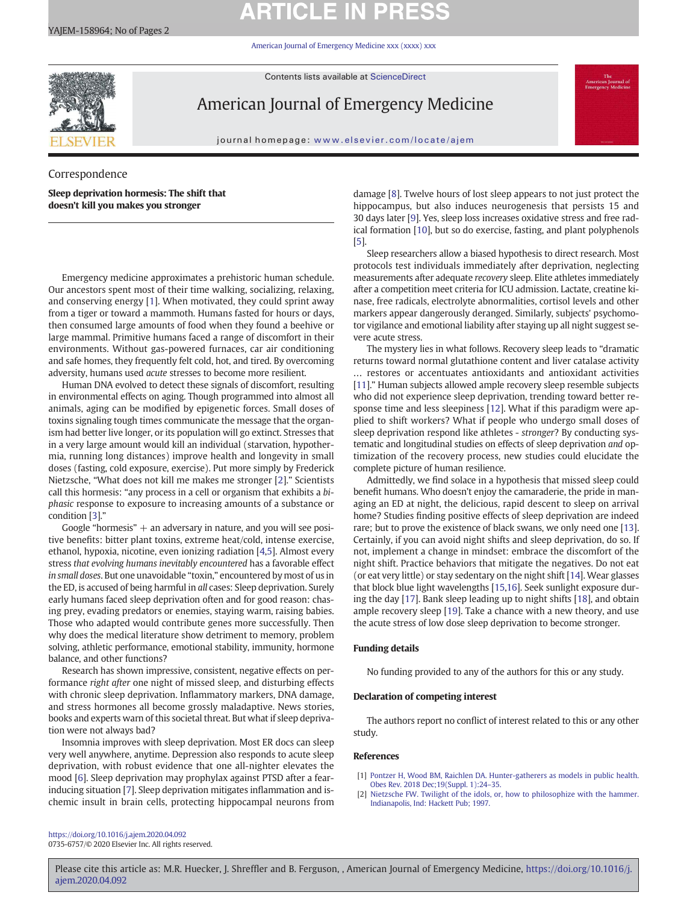# **ARTICLE IN PRESS**

American Journal of Emergency Medicine xxx (xxxx) xxx

Contents lists available at ScienceDirect



American Journal of Emergency Medicine

journal homepage: www.elsevier.com/locate/ajem

Correspondence Sleep deprivation hormesis: The shift that doesn't kill you makes you stronger

Emergency medicine approximates a prehistoric human schedule. Our ancestors spent most of their time walking, socializing, relaxing, and conserving energy [1]. When motivated, they could sprint away from a tiger or toward a mammoth. Humans fasted for hours or days, then consumed large amounts of food when they found a beehive or large mammal. Primitive humans faced a range of discomfort in their environments. Without gas-powered furnaces, car air conditioning and safe homes, they frequently felt cold, hot, and tired. By overcoming adversity, humans used acute stresses to become more resilient.

Human DNA evolved to detect these signals of discomfort, resulting in environmental effects on aging. Though programmed into almost all animals, aging can be modified by epigenetic forces. Small doses of toxins signaling tough times communicate the message that the organism had better live longer, or its population will go extinct. Stresses that in a very large amount would kill an individual (starvation, hypothermia, running long distances) improve health and longevity in small doses (fasting, cold exposure, exercise). Put more simply by Frederick Nietzsche, "What does not kill me makes me stronger [2]." Scientists call this hormesis: "any process in a cell or organism that exhibits a biphasic response to exposure to increasing amounts of a substance or condition [3]."

Google "hormesis"  $+$  an adversary in nature, and you will see positive benefits: bitter plant toxins, extreme heat/cold, intense exercise, ethanol, hypoxia, nicotine, even ionizing radiation [4,5]. Almost every stress that evolving humans inevitably encountered has a favorable effect in small doses. But one unavoidable "toxin," encountered by most of us in the ED, is accused of being harmful in all cases: Sleep deprivation. Surely early humans faced sleep deprivation often and for good reason: chasing prey, evading predators or enemies, staying warm, raising babies. Those who adapted would contribute genes more successfully. Then why does the medical literature show detriment to memory, problem solving, athletic performance, emotional stability, immunity, hormone balance, and other functions?

Research has shown impressive, consistent, negative effects on performance right after one night of missed sleep, and disturbing effects with chronic sleep deprivation. Inflammatory markers, DNA damage, and stress hormones all become grossly maladaptive. News stories, books and experts warn of this societal threat. But what if sleep deprivation were not always bad?

Insomnia improves with sleep deprivation. Most ER docs can sleep very well anywhere, anytime. Depression also responds to acute sleep deprivation, with robust evidence that one all-nighter elevates the mood [6]. Sleep deprivation may prophylax against PTSD after a fearinducing situation [7]. Sleep deprivation mitigates inflammation and ischemic insult in brain cells, protecting hippocampal neurons from damage [8]. Twelve hours of lost sleep appears to not just protect the hippocampus, but also induces neurogenesis that persists 15 and 30 days later [9]. Yes, sleep loss increases oxidative stress and free radical formation [10], but so do exercise, fasting, and plant polyphenols [5].

Sleep researchers allow a biased hypothesis to direct research. Most protocols test individuals immediately after deprivation, neglecting measurements after adequate recovery sleep. Elite athletes immediately after a competition meet criteria for ICU admission. Lactate, creatine kinase, free radicals, electrolyte abnormalities, cortisol levels and other markers appear dangerously deranged. Similarly, subjects' psychomotor vigilance and emotional liability after staying up all night suggest severe acute stress.

The mystery lies in what follows. Recovery sleep leads to "dramatic returns toward normal glutathione content and liver catalase activity … restores or accentuates antioxidants and antioxidant activities [11]." Human subjects allowed ample recovery sleep resemble subjects who did not experience sleep deprivation, trending toward better response time and less sleepiness [12]. What if this paradigm were applied to shift workers? What if people who undergo small doses of sleep deprivation respond like athletes - stronger? By conducting systematic and longitudinal studies on effects of sleep deprivation and optimization of the recovery process, new studies could elucidate the complete picture of human resilience.

Admittedly, we find solace in a hypothesis that missed sleep could benefit humans. Who doesn't enjoy the camaraderie, the pride in managing an ED at night, the delicious, rapid descent to sleep on arrival home? Studies finding positive effects of sleep deprivation are indeed rare; but to prove the existence of black swans, we only need one [13]. Certainly, if you can avoid night shifts and sleep deprivation, do so. If not, implement a change in mindset: embrace the discomfort of the night shift. Practice behaviors that mitigate the negatives. Do not eat (or eat very little) or stay sedentary on the night shift [14]. Wear glasses that block blue light wavelengths [15,16]. Seek sunlight exposure during the day [17]. Bank sleep leading up to night shifts [18], and obtain ample recovery sleep [19]. Take a chance with a new theory, and use the acute stress of low dose sleep deprivation to become stronger.

# Funding details

No funding provided to any of the authors for this or any study.

# Declaration of competing interest

The authors report no conflict of interest related to this or any other study.

### References

- [1] Pontzer H, Wood BM, Raichlen DA. Hunter-gatherers as models in public health. Obes Rev. 2018 Dec;19(Suppl. 1):24–35.
- [2] Nietzsche FW. Twilight of the idols, or, how to philosophize with the hammer. Indianapolis, Ind: Hackett Pub; 1997.

https://doi.org/10.1016/j.ajem.2020.04.092 0735-6757/© 2020 Elsevier Inc. All rights reserved.